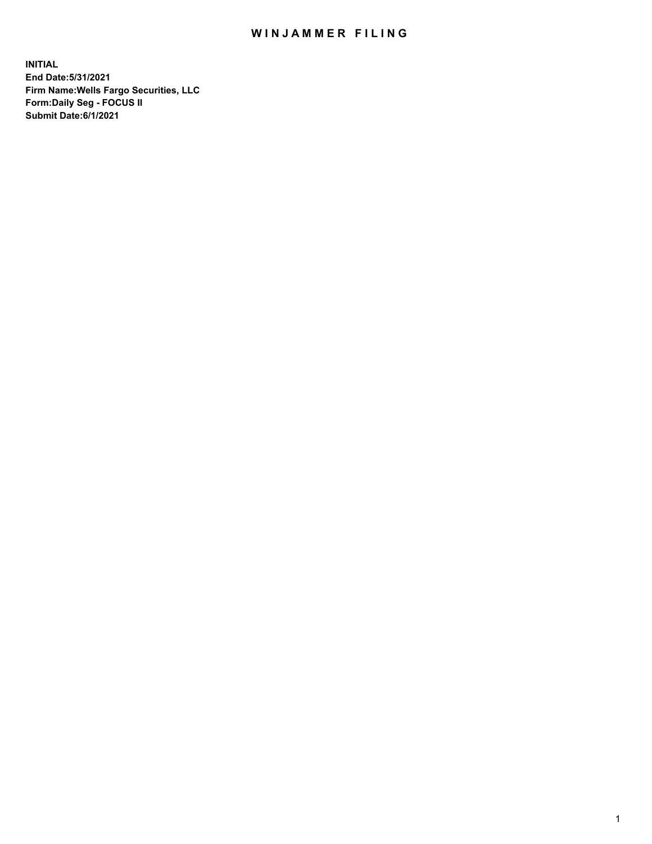## WIN JAMMER FILING

**INITIAL End Date:5/31/2021 Firm Name:Wells Fargo Securities, LLC Form:Daily Seg - FOCUS II Submit Date:6/1/2021**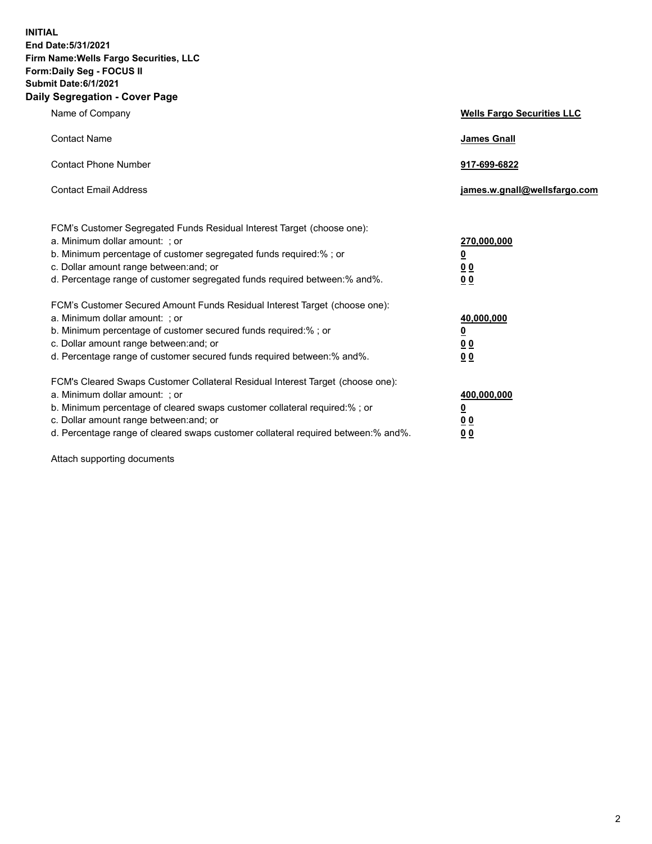**INITIAL End Date:5/31/2021 Firm Name:Wells Fargo Securities, LLC Form:Daily Seg - FOCUS II Submit Date:6/1/2021 Daily Segregation - Cover Page**

| Name of Company                                                                                                                                                                                                                                                                                                               | <b>Wells Fargo Securities LLC</b>                          |
|-------------------------------------------------------------------------------------------------------------------------------------------------------------------------------------------------------------------------------------------------------------------------------------------------------------------------------|------------------------------------------------------------|
| <b>Contact Name</b>                                                                                                                                                                                                                                                                                                           | <b>James Gnall</b>                                         |
| <b>Contact Phone Number</b>                                                                                                                                                                                                                                                                                                   | 917-699-6822                                               |
| <b>Contact Email Address</b>                                                                                                                                                                                                                                                                                                  | james.w.gnall@wellsfargo.com                               |
| FCM's Customer Segregated Funds Residual Interest Target (choose one):<br>a. Minimum dollar amount: ; or<br>b. Minimum percentage of customer segregated funds required:% ; or<br>c. Dollar amount range between: and; or<br>d. Percentage range of customer segregated funds required between:% and%.                        | 270,000,000<br><u>0</u><br>0 <sub>0</sub><br>00            |
| FCM's Customer Secured Amount Funds Residual Interest Target (choose one):<br>a. Minimum dollar amount: ; or<br>b. Minimum percentage of customer secured funds required:%; or<br>c. Dollar amount range between: and; or<br>d. Percentage range of customer secured funds required between: % and %.                         | 40,000,000<br><u>0</u><br>0 <sub>0</sub><br>0 <sub>0</sub> |
| FCM's Cleared Swaps Customer Collateral Residual Interest Target (choose one):<br>a. Minimum dollar amount: ; or<br>b. Minimum percentage of cleared swaps customer collateral required:%; or<br>c. Dollar amount range between: and; or<br>d. Percentage range of cleared swaps customer collateral required between:% and%. | 400,000,000<br><u>0</u><br>00<br>00                        |

Attach supporting documents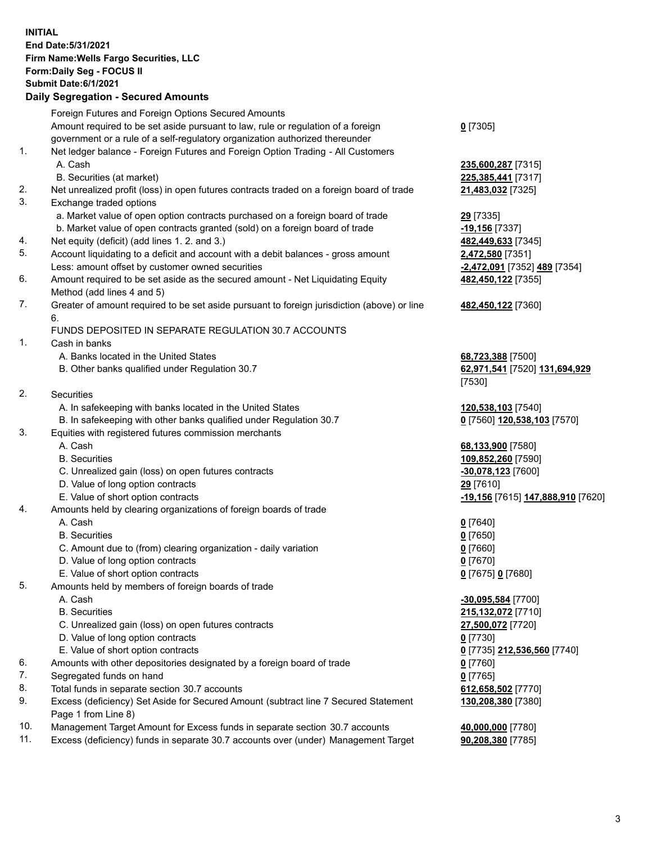**INITIAL End Date:5/31/2021 Firm Name:Wells Fargo Securities, LLC Form:Daily Seg - FOCUS II Submit Date:6/1/2021 Daily Segregation - Secured Amounts**

Foreign Futures and Foreign Options Secured Amounts Amount required to be set aside pursuant to law, rule or regulation of a foreign government or a rule of a self-regulatory organization authorized thereunder **0** [7305] 1. Net ledger balance - Foreign Futures and Foreign Option Trading - All Customers A. Cash **235,600,287** [7315] B. Securities (at market) **225,385,441** [7317] 2. Net unrealized profit (loss) in open futures contracts traded on a foreign board of trade **21,483,032** [7325] 3. Exchange traded options a. Market value of open option contracts purchased on a foreign board of trade **29** [7335] b. Market value of open contracts granted (sold) on a foreign board of trade **-19,156** [7337] 4. Net equity (deficit) (add lines 1. 2. and 3.) **482,449,633** [7345] 5. Account liquidating to a deficit and account with a debit balances - gross amount **2,472,580** [7351] Less: amount offset by customer owned securities **-2,472,091** [7352] **489** [7354] 6. Amount required to be set aside as the secured amount - Net Liquidating Equity Method (add lines 4 and 5) **482,450,122** [7355] 7. Greater of amount required to be set aside pursuant to foreign jurisdiction (above) or line 6. **482,450,122** [7360] FUNDS DEPOSITED IN SEPARATE REGULATION 30.7 ACCOUNTS 1. Cash in banks A. Banks located in the United States **68,723,388** [7500] B. Other banks qualified under Regulation 30.7 **62,971,541** [7520] **131,694,929** [7530] 2. Securities A. In safekeeping with banks located in the United States **120,538,103** [7540] B. In safekeeping with other banks qualified under Regulation 30.7 **0** [7560] **120,538,103** [7570] 3. Equities with registered futures commission merchants A. Cash **68,133,900** [7580] B. Securities **109,852,260** [7590] C. Unrealized gain (loss) on open futures contracts **-30,078,123** [7600] D. Value of long option contracts **29** [7610] E. Value of short option contracts **-19,156** [7615] **147,888,910** [7620] 4. Amounts held by clearing organizations of foreign boards of trade A. Cash **0** [7640] B. Securities **0** [7650] C. Amount due to (from) clearing organization - daily variation **0** [7660] D. Value of long option contracts **0** [7670] E. Value of short option contracts **0** [7675] **0** [7680] 5. Amounts held by members of foreign boards of trade A. Cash **-30,095,584** [7700] B. Securities **215,132,072** [7710] C. Unrealized gain (loss) on open futures contracts **27,500,072** [7720] D. Value of long option contracts **0** [7730] E. Value of short option contracts **0** [7735] **212,536,560** [7740] 6. Amounts with other depositories designated by a foreign board of trade **0** [7760] 7. Segregated funds on hand **0** [7765] 8. Total funds in separate section 30.7 accounts **612,658,502** [7770] 9. Excess (deficiency) Set Aside for Secured Amount (subtract line 7 Secured Statement Page 1 from Line 8) **130,208,380** [7380]

- 10. Management Target Amount for Excess funds in separate section 30.7 accounts **40,000,000** [7780]
- 11. Excess (deficiency) funds in separate 30.7 accounts over (under) Management Target **90,208,380** [7785]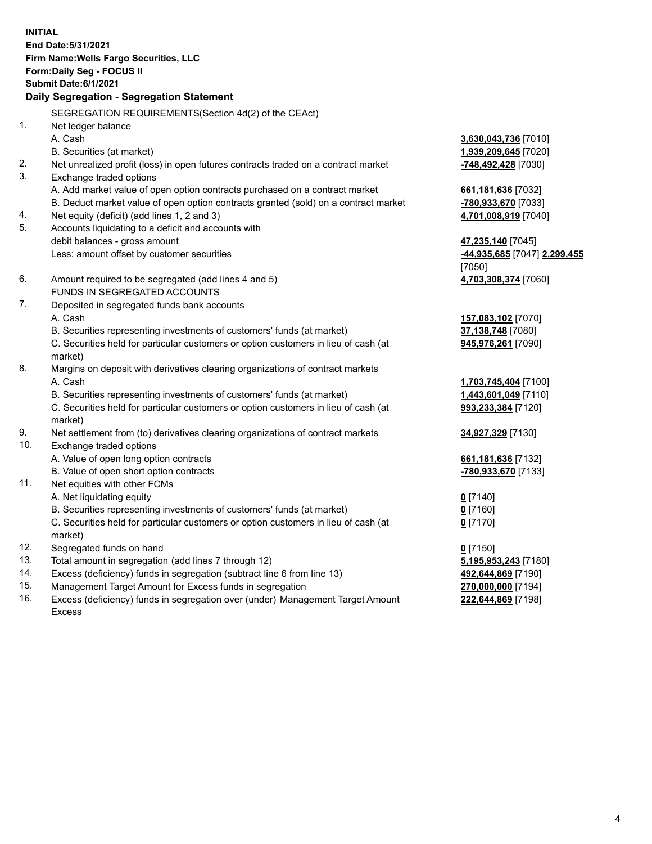**INITIAL End Date:5/31/2021 Firm Name:Wells Fargo Securities, LLC Form:Daily Seg - FOCUS II Submit Date:6/1/2021 Daily Segregation - Segregation Statement** SEGREGATION REQUIREMENTS(Section 4d(2) of the CEAct) 1. Net ledger balance A. Cash **3,630,043,736** [7010] B. Securities (at market) **1,939,209,645** [7020] 2. Net unrealized profit (loss) in open futures contracts traded on a contract market **-748,492,428** [7030] 3. Exchange traded options A. Add market value of open option contracts purchased on a contract market **661,181,636** [7032] B. Deduct market value of open option contracts granted (sold) on a contract market **-780,933,670** [7033] 4. Net equity (deficit) (add lines 1, 2 and 3) **4,701,008,919** [7040] 5. Accounts liquidating to a deficit and accounts with debit balances - gross amount **47,235,140** [7045] Less: amount offset by customer securities **-44,935,685** [7047] **2,299,455** [7050] 6. Amount required to be segregated (add lines 4 and 5) **4,703,308,374** [7060] FUNDS IN SEGREGATED ACCOUNTS 7. Deposited in segregated funds bank accounts A. Cash **157,083,102** [7070] B. Securities representing investments of customers' funds (at market) **37,138,748** [7080] C. Securities held for particular customers or option customers in lieu of cash (at market) **945,976,261** [7090] 8. Margins on deposit with derivatives clearing organizations of contract markets A. Cash **1,703,745,404** [7100] B. Securities representing investments of customers' funds (at market) **1,443,601,049** [7110] C. Securities held for particular customers or option customers in lieu of cash (at market) **993,233,384** [7120] 9. Net settlement from (to) derivatives clearing organizations of contract markets **34,927,329** [7130] 10. Exchange traded options A. Value of open long option contracts **661,181,636** [7132] B. Value of open short option contracts **-780,933,670** [7133] 11. Net equities with other FCMs A. Net liquidating equity **0** [7140] B. Securities representing investments of customers' funds (at market) **0** [7160] C. Securities held for particular customers or option customers in lieu of cash (at market) **0** [7170] 12. Segregated funds on hand **0** [7150] 13. Total amount in segregation (add lines 7 through 12) **5,195,953,243** [7180] 14. Excess (deficiency) funds in segregation (subtract line 6 from line 13) **492,644,869** [7190] 15. Management Target Amount for Excess funds in segregation **270,000,000** [7194]

16. Excess (deficiency) funds in segregation over (under) Management Target Amount Excess

**222,644,869** [7198]